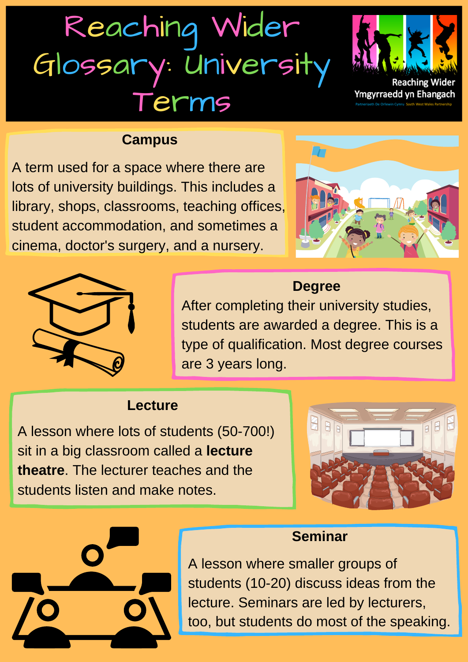# Reaching Wider Glossary: Universit **Terms**



Ymgyrraedd yn Ehangach

#### **Campus**

A term used for a space where there are lots of university buildings. This includes a library, shops, classrooms, teaching offices, student accommodation, and sometimes a cinema, doctor's surgery, and a nursery.





# **Degree**

After completing their university studies, students are awarded a degree. This is a type of qualification. Most degree courses are 3 years long.

### **Lecture**

A lesson where lots of students (50-700!) sit in a big classroom called a **lecture theatre**. The lecturer teaches and the students listen and make notes.



### **Seminar**

A lesson where smaller groups of students (10-20) discuss ideas from the lecture. Seminars are led by lecturers, too, but students do most of the speaking.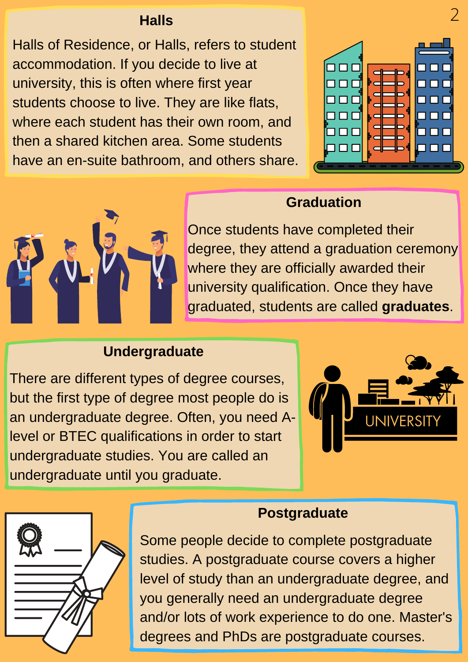#### **Halls**

Halls of Residence, or Halls, refers to student accommodation. If you decide to live at university, this is often where first year students choose to live. They are like flats, where each student has their own room, and then a shared kitchen area. Some students have an en-suite bathroom, and others share.







# Once students have completed their degree, they attend a graduation ceremony where they are officially awarded their university qualification. Once they have graduated, students are called **graduates**.

## **Undergraduate**

There are different types of degree courses, but the first type of degree most people do is an undergraduate degree. Often, you need Alevel or BTEC qualifications in order to start undergraduate studies. You are called an undergraduate until you graduate.





#### **Postgraduate**

Some people decide to complete postgraduate studies. A postgraduate course covers a higher level of study than an undergraduate degree, and you generally need an undergraduate degree and/or lots of work experience to do one. Master's degrees and PhDs are postgraduate courses.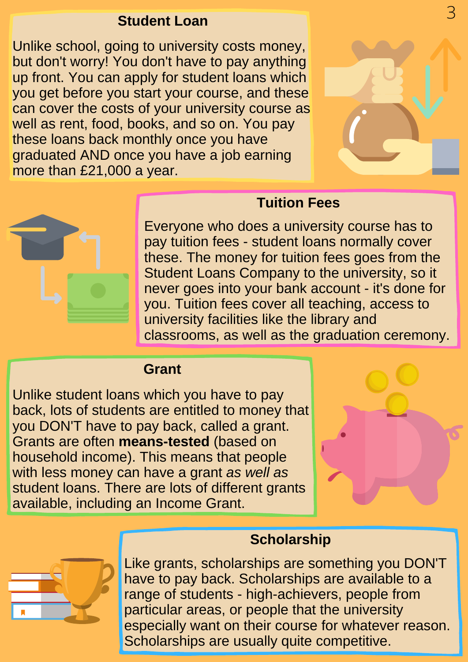#### **Student Loan**

Unlike school, going to university costs money, but don't worry! You don't have to pay anything up front. You can apply for student loans which you get before you start your course, and these can cover the costs of your university course as well as rent, food, books, and so on. You pay these loans back monthly once you have graduated AND once you have a job earning more than £21,000 a year.





# **Tuition Fees**

Everyone who does a university course has to pay tuition fees - student loans normally cover these. The money for tuition fees goes from the Student Loans Company to the university, so it never goes into your bank account - it's done for you. Tuition fees cover all teaching, access to university facilities like the library and classrooms, as well as the graduation ceremony.

#### **Grant**

Unlike student loans which you have to pay back, lots of students are entitled to money that you DON'T have to pay back, called a grant. Grants are often **means-tested** (based on household income). This means that people with less money can have a grant *as well as* student loans. There are lots of different grants available, including an Income Grant.



# **Scholarship**

Like grants, scholarships are something you DON'T have to pay back. Scholarships are available to a range of students - high-achievers, people from particular areas, or people that the university especially want on their course for whatever reason. Scholarships are usually quite competitive.